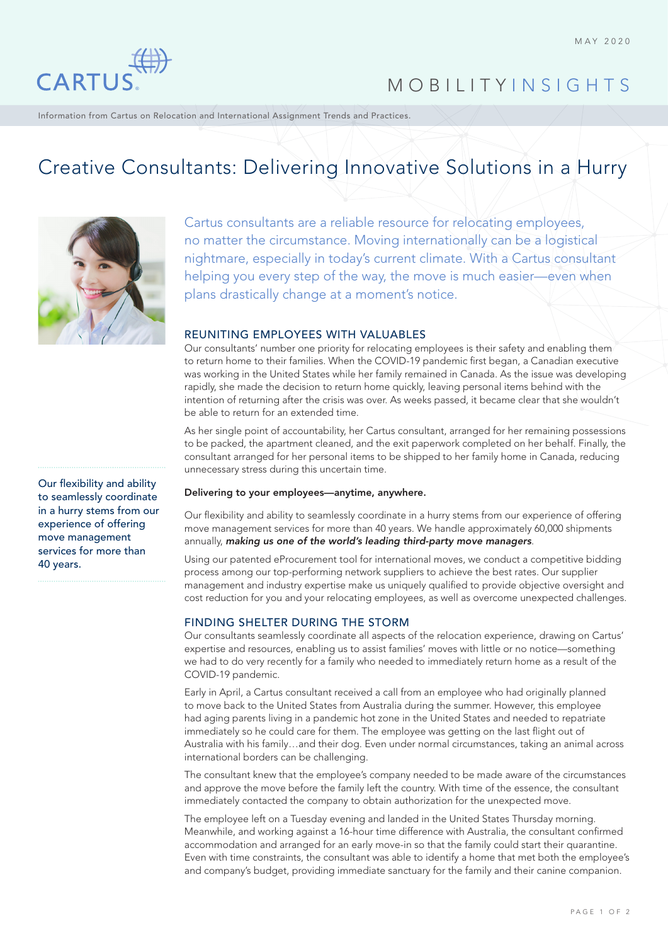

# MOBILITY INSIGHTS

Information from Cartus on Relocation and International Assignment Trends and Practices.

# Creative Consultants: Delivering Innovative Solutions in a Hurry



Cartus consultants are a reliable resource for relocating employees, no matter the circumstance. Moving internationally can be a logistical nightmare, especially in today's current climate. With a Cartus consultant helping you every step of the way, the move is much easier—even when plans drastically change at a moment's notice.

## REUNITING EMPLOYEES WITH VALUABLES

Our consultants' number one priority for relocating employees is their safety and enabling them to return home to their families. When the COVID-19 pandemic first began, a Canadian executive was working in the United States while her family remained in Canada. As the issue was developing rapidly, she made the decision to return home quickly, leaving personal items behind with the intention of returning after the crisis was over. As weeks passed, it became clear that she wouldn't be able to return for an extended time.

As her single point of accountability, her Cartus consultant, arranged for her remaining possessions to be packed, the apartment cleaned, and the exit paperwork completed on her behalf. Finally, the consultant arranged for her personal items to be shipped to her family home in Canada, reducing unnecessary stress during this uncertain time.

#### Delivering to your employees—anytime, anywhere.

Our flexibility and ability to seamlessly coordinate in a hurry stems from our experience of offering move management services for more than 40 years. We handle approximately 60,000 shipments annually, *making us one of the world's leading third-party move managers*.

Using our patented eProcurement tool for international moves, we conduct a competitive bidding process among our top-performing network suppliers to achieve the best rates. Our supplier management and industry expertise make us uniquely qualified to provide objective oversight and cost reduction for you and your relocating employees, as well as overcome unexpected challenges.

## FINDING SHELTER DURING THE STORM

Our consultants seamlessly coordinate all aspects of the relocation experience, drawing on Cartus' expertise and resources, enabling us to assist families' moves with little or no notice—something we had to do very recently for a family who needed to immediately return home as a result of the COVID-19 pandemic.

Early in April, a Cartus consultant received a call from an employee who had originally planned to move back to the United States from Australia during the summer. However, this employee had aging parents living in a pandemic hot zone in the United States and needed to repatriate immediately so he could care for them. The employee was getting on the last flight out of Australia with his family…and their dog. Even under normal circumstances, taking an animal across international borders can be challenging.

The consultant knew that the employee's company needed to be made aware of the circumstances and approve the move before the family left the country. With time of the essence, the consultant immediately contacted the company to obtain authorization for the unexpected move.

The employee left on a Tuesday evening and landed in the United States Thursday morning. Meanwhile, and working against a 16-hour time difference with Australia, the consultant confirmed accommodation and arranged for an early move-in so that the family could start their quarantine. Even with time constraints, the consultant was able to identify a home that met both the employee's and company's budget, providing immediate sanctuary for the family and their canine companion.

Our flexibility and ability to seamlessly coordinate in a hurry stems from our experience of offering move management services for more than 40 years.